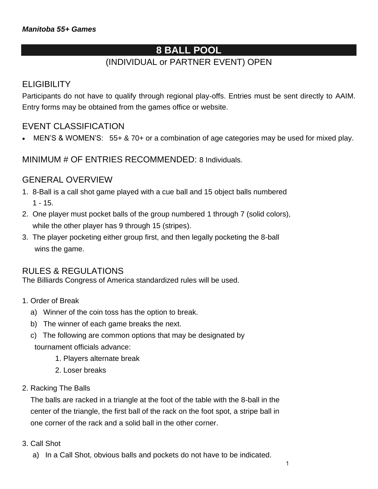# **8 BALL POOL**

# (INDIVIDUAL or PARTNER EVENT) OPEN

### **ELIGIBILITY**

Participants do not have to qualify through regional play-offs. Entries must be sent directly to AAIM. Entry forms may be obtained from the games office or website.

## EVENT CLASSIFICATION

• MEN'S & WOMEN'S: 55+ & 70+ or a combination of age categories may be used for mixed play.

MINIMUM # OF ENTRIES RECOMMENDED: 8 Individuals.

### GENERAL OVERVIEW

- 1. 8-Ball is a call shot game played with a cue ball and 15 object balls numbered 1 - 15.
- 2. One player must pocket balls of the group numbered 1 through 7 (solid colors), while the other player has 9 through 15 (stripes).
- 3. The player pocketing either group first, and then legally pocketing the 8-ball wins the game.

### RULES & REGULATIONS

The Billiards Congress of America standardized rules will be used.

- 1. Order of Break
	- a) Winner of the coin toss has the option to break.
	- b) The winner of each game breaks the next.
	- c) The following are common options that may be designated by tournament officials advance:
		- 1. Players alternate break
		- 2. Loser breaks
- 2. Racking The Balls

 The balls are racked in a triangle at the foot of the table with the 8-ball in the center of the triangle, the first ball of the rack on the foot spot, a stripe ball in one corner of the rack and a solid ball in the other corner.

- 3. Call Shot
	- a) In a Call Shot, obvious balls and pockets do not have to be indicated.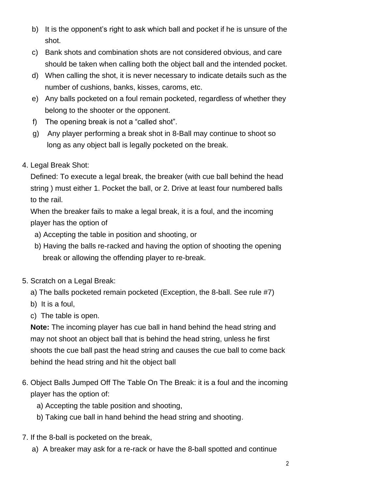- b) It is the opponent's right to ask which ball and pocket if he is unsure of the shot.
- c) Bank shots and combination shots are not considered obvious, and care should be taken when calling both the object ball and the intended pocket.
- d) When calling the shot, it is never necessary to indicate details such as the number of cushions, banks, kisses, caroms, etc.
- e) Any balls pocketed on a foul remain pocketed, regardless of whether they belong to the shooter or the opponent.
- f) The opening break is not a "called shot".
- g) Any player performing a break shot in 8-Ball may continue to shoot so long as any object ball is legally pocketed on the break.
- 4. Legal Break Shot:

 Defined: To execute a legal break, the breaker (with cue ball behind the head string ) must either 1. Pocket the ball, or 2. Drive at least four numbered balls to the rail.

 When the breaker fails to make a legal break, it is a foul, and the incoming player has the option of

- a) Accepting the table in position and shooting, or
- b) Having the balls re-racked and having the option of shooting the opening break or allowing the offending player to re-break.
- 5. Scratch on a Legal Break:
	- a) The balls pocketed remain pocketed (Exception, the 8-ball. See rule #7)
	- b) It is a foul,
	- c) The table is open.

 **Note:** The incoming player has cue ball in hand behind the head string and may not shoot an object ball that is behind the head string, unless he first shoots the cue ball past the head string and causes the cue ball to come back behind the head string and hit the object ball

- 6. Object Balls Jumped Off The Table On The Break: it is a foul and the incoming player has the option of:
	- a) Accepting the table position and shooting,
	- b) Taking cue ball in hand behind the head string and shooting.
- 7. If the 8-ball is pocketed on the break,
	- a) A breaker may ask for a re-rack or have the 8-ball spotted and continue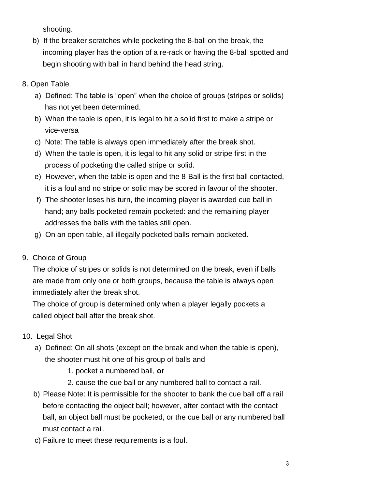shooting.

- b) If the breaker scratches while pocketing the 8-ball on the break, the incoming player has the option of a re-rack or having the 8-ball spotted and begin shooting with ball in hand behind the head string.
- 8. Open Table
	- a) Defined: The table is "open" when the choice of groups (stripes or solids) has not yet been determined.
	- b) When the table is open, it is legal to hit a solid first to make a stripe or vice-versa
	- c) Note: The table is always open immediately after the break shot.
	- d) When the table is open, it is legal to hit any solid or stripe first in the process of pocketing the called stripe or solid.
	- e) However, when the table is open and the 8-Ball is the first ball contacted, it is a foul and no stripe or solid may be scored in favour of the shooter.
	- f) The shooter loses his turn, the incoming player is awarded cue ball in hand; any balls pocketed remain pocketed: and the remaining player addresses the balls with the tables still open.
	- g) On an open table, all illegally pocketed balls remain pocketed.
- 9. Choice of Group

 The choice of stripes or solids is not determined on the break, even if balls are made from only one or both groups, because the table is always open immediately after the break shot.

 The choice of group is determined only when a player legally pockets a called object ball after the break shot.

- 10. Legal Shot
	- a) Defined: On all shots (except on the break and when the table is open), the shooter must hit one of his group of balls and
		- 1. pocket a numbered ball, **or**
		- 2. cause the cue ball or any numbered ball to contact a rail.
	- b) Please Note: It is permissible for the shooter to bank the cue ball off a rail before contacting the object ball; however, after contact with the contact ball, an object ball must be pocketed, or the cue ball or any numbered ball must contact a rail.
	- c) Failure to meet these requirements is a foul.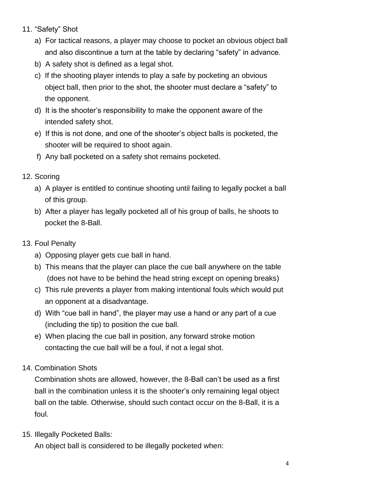- 11. "Safety" Shot
	- a) For tactical reasons, a player may choose to pocket an obvious object ball and also discontinue a turn at the table by declaring "safety" in advance.
	- b) A safety shot is defined as a legal shot.
	- c) If the shooting player intends to play a safe by pocketing an obvious object ball, then prior to the shot, the shooter must declare a "safety" to the opponent.
	- d) It is the shooter's responsibility to make the opponent aware of the intended safety shot.
	- e) If this is not done, and one of the shooter's object balls is pocketed, the shooter will be required to shoot again.
	- f) Any ball pocketed on a safety shot remains pocketed.
- 12. Scoring
	- a) A player is entitled to continue shooting until failing to legally pocket a ball of this group.
	- b) After a player has legally pocketed all of his group of balls, he shoots to pocket the 8-Ball.
- 13. Foul Penalty
	- a) Opposing player gets cue ball in hand.
	- b) This means that the player can place the cue ball anywhere on the table (does not have to be behind the head string except on opening breaks)
	- c) This rule prevents a player from making intentional fouls which would put an opponent at a disadvantage.
	- d) With "cue ball in hand", the player may use a hand or any part of a cue (including the tip) to position the cue ball.
	- e) When placing the cue ball in position, any forward stroke motion contacting the cue ball will be a foul, if not a legal shot.
- 14. Combination Shots

 Combination shots are allowed, however, the 8-Ball can't be used as a first ball in the combination unless it is the shooter's only remaining legal object ball on the table. Otherwise, should such contact occur on the 8-Ball, it is a foul.

15. Illegally Pocketed Balls:

An object ball is considered to be illegally pocketed when: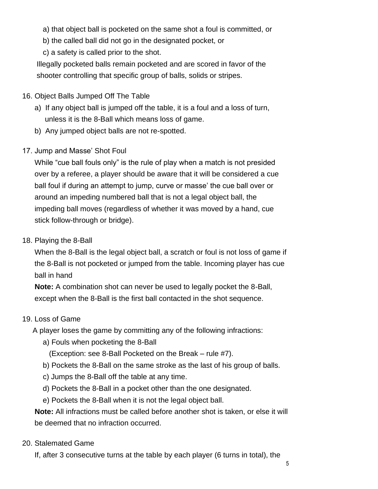a) that object ball is pocketed on the same shot a foul is committed, or

b) the called ball did not go in the designated pocket, or

c) a safety is called prior to the shot.

 Illegally pocketed balls remain pocketed and are scored in favor of the shooter controlling that specific group of balls, solids or stripes.

### 16. Object Balls Jumped Off The Table

- a) If any object ball is jumped off the table, it is a foul and a loss of turn, unless it is the 8-Ball which means loss of game.
- b) Any jumped object balls are not re-spotted.
- 17. Jump and Masse' Shot Foul

 While "cue ball fouls only" is the rule of play when a match is not presided over by a referee, a player should be aware that it will be considered a cue ball foul if during an attempt to jump, curve or masse' the cue ball over or around an impeding numbered ball that is not a legal object ball, the impeding ball moves (regardless of whether it was moved by a hand, cue stick follow-through or bridge).

### 18. Playing the 8-Ball

 When the 8-Ball is the legal object ball, a scratch or foul is not loss of game if the 8-Ball is not pocketed or jumped from the table. Incoming player has cue ball in hand

 **Note:** A combination shot can never be used to legally pocket the 8-Ball, except when the 8-Ball is the first ball contacted in the shot sequence.

### 19. Loss of Game

A player loses the game by committing any of the following infractions:

a) Fouls when pocketing the 8-Ball

(Exception: see 8-Ball Pocketed on the Break – rule #7).

- b) Pockets the 8-Ball on the same stroke as the last of his group of balls.
- c) Jumps the 8-Ball off the table at any time.
- d) Pockets the 8-Ball in a pocket other than the one designated.
- e) Pockets the 8-Ball when it is not the legal object ball.

 **Note:** All infractions must be called before another shot is taken, or else it will be deemed that no infraction occurred.

### 20. Stalemated Game

If, after 3 consecutive turns at the table by each player (6 turns in total), the